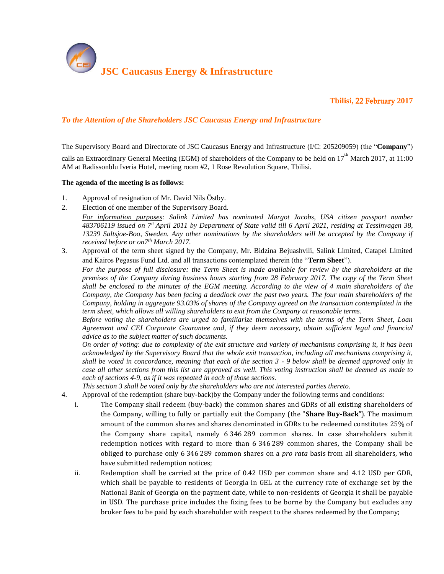

**Tbilisi,** 22 February **2017** 

## *To the Attention of the Shareholders JSC Caucasus Energy and Infrastructure*

The Supervisory Board and Directorate of JSC Caucasus Energy and Infrastructure (I/C: 205209059) (the "**Company**")

calls an Extraordinary General Meeting (EGM) of shareholders of the Company to be held on  $17^{th}$  March 2017, at 11:00 AM at Radissonblu Iveria Hotel, meeting room #2, 1 Rose Revolution Square, Tbilisi.

## **The agenda of the meeting is as follows:**

- 1. Approval of resignation of Mr. David Nils Östby.
- 2. Election of one member of the Supervisory Board.

*For information purposes: Salink Limited has nominated Margot Jacobs, USA citizen passport number 483706119 issued on 7tt April 2011 by Department of State valid till 6 April 2021, residing at Tessinvagen 38, 13239 Saltsjoe-Boo, Sweden. Any other nominations by the shareholders will be accepted by the Company if received before or on7th March 2017.*

3. Approval of the term sheet signed by the Company, Mr. Bidzina Bejuashvili, Salink Limited, Catapel Limited and Kairos Pegasus Fund Ltd. and all transactions contemplated therein (the "**Term Sheet**").

*For the purpose of full disclosure: the Term Sheet is made available for review by the shareholders at the premises of the Company during business hours starting from 28 February 2017. The copy of the Term Sheet shall be enclosed to the minutes of the EGM meeting. According to the view of 4 main shareholders of the Company, the Company has been facing a deadlock over the past two years. The four main shareholders of the Company, holding in aggregate 93.03% of shares of the Company agreed on the transaction contemplated in the term sheet, which allows all willing shareholders to exit from the Company at reasonable terms.*

*Before voting the shareholders are urged to familiarize themselves with the terms of the Term Sheet, Loan Agreement and CEI Corporate Guarantee and, if they deem necessary, obtain sufficient legal and financial advice as to the subject matter of such documents.*

*On order of voting*: *due to complexity of the exit structure and variety of mechanisms comprising it, it has been acknowledged by the Supervisory Board that the whole exit transaction, including all mechanisms comprising it, shall be voted in concordance, meaning that each of the section 3 - 9 below shall be deemed approved only in case all other sections from this list are approved as well. This voting instruction shall be deemed as made to each of sections 4-9, as if it was repeated in each of those sections.*

*This section 3 shall be voted only by the shareholders who are not interested parties thereto.*

- 4. Approval of the redemption (share buy-back)by the Company under the following terms and conditions:
	- i. The Company shall redeem (buy-back) the common shares and GDRs of all existing shareholders of the Company, willing to fully or partially exit the Company (the "**Share Buy-Back**"). The maximum amount of the common shares and shares denominated in GDRs to be redeemed constitutes 25% of the Company share capital, namely 6 346 289 common shares. In case shareholders submit redemption notices with regard to more than 6 346 289 common shares, the Company shall be obliged to purchase only 6 346 289 common shares on a *pro rata* basis from all shareholders, who have submitted redemption notices;
	- ii. Redemption shall be carried at the price of 0.42 USD per common share and 4.12 USD per GDR, which shall be payable to residents of Georgia in GEL at the currency rate of exchange set by the National Bank of Georgia on the payment date, while to non-residents of Georgia it shall be payable in USD. The purchase price includes the fixing fees to be borne by the Company but excludes any broker fees to be paid by each shareholder with respect to the shares redeemed by the Company;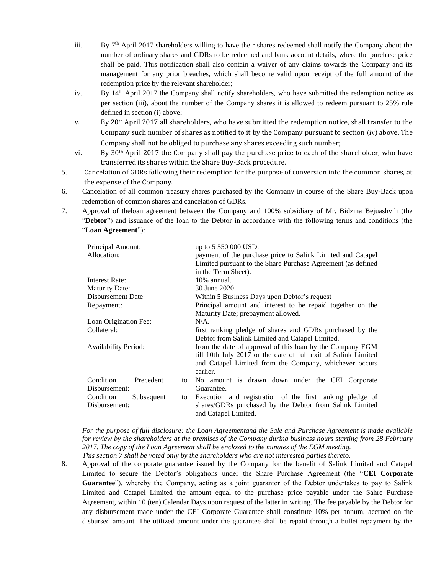- iii. By  $7<sup>th</sup>$  April 2017 shareholders willing to have their shares redeemed shall notify the Company about the number of ordinary shares and GDRs to be redeemed and bank account details, where the purchase price shall be paid. This notification shall also contain a waiver of any claims towards the Company and its management for any prior breaches, which shall become valid upon receipt of the full amount of the redemption price by the relevant shareholder;
- iv. By  $14<sup>th</sup>$  April 2017 the Company shall notify shareholders, who have submitted the redemption notice as per section (iii), about the number of the Company shares it is allowed to redeem pursuant to 25% rule defined in section (i) above;
- v. By 20th April 2017 all shareholders, who have submitted the redemption notice, shall transfer to the Company such number of shares as notified to it by the Company pursuant to section (iv) above. The Company shall not be obliged to purchase any shares exceeding such number;
- vi. By 30<sup>th</sup> April 2017 the Company shall pay the purchase price to each of the shareholder, who have transferred its shares within the Share Buy-Back procedure.
- 5. Cancelation of GDRs following their redemption for the purpose of conversion into the common shares, at the expense of the Company.
- 6. Cancelation of all common treasury shares purchased by the Company in course of the Share Buy-Back upon redemption of common shares and cancelation of GDRs.
- 7. Approval of theloan agreement between the Company and 100% subsidiary of Mr. Bidzina Bejuashvili (the "**Debtor**") and issuance of the loan to the Debtor in accordance with the following terms and conditions (the "**Loan Agreement**"):

| Principal Amount:           |                                                        | up to 5 550 000 USD.                                           |
|-----------------------------|--------------------------------------------------------|----------------------------------------------------------------|
| Allocation:                 |                                                        | payment of the purchase price to Salink Limited and Catapel    |
|                             |                                                        | Limited pursuant to the Share Purchase Agreement (as defined   |
|                             |                                                        | in the Term Sheet).                                            |
| Interest Rate:              |                                                        | $10\%$ annual.                                                 |
| <b>Maturity Date:</b>       |                                                        | 30 June 2020.                                                  |
| Disbursement Date           |                                                        | Within 5 Business Days upon Debtor's request                   |
| Repayment:                  |                                                        | Principal amount and interest to be repaid together on the     |
|                             |                                                        | Maturity Date; prepayment allowed.                             |
| Loan Origination Fee:       |                                                        | $N/A$ .                                                        |
| Collateral:                 |                                                        | first ranking pledge of shares and GDRs purchased by the       |
|                             |                                                        | Debtor from Salink Limited and Catapel Limited.                |
| <b>Availability Period:</b> |                                                        | from the date of approval of this loan by the Company EGM      |
|                             |                                                        | till 10th July 2017 or the date of full exit of Salink Limited |
|                             | and Catapel Limited from the Company, whichever occurs |                                                                |
|                             | earlier.                                               |                                                                |
| Condition<br>Precedent      | to                                                     | No amount is drawn down under the CEI Corporate                |
| Disbursement:               |                                                        | Guarantee.                                                     |
| Condition<br>Subsequent     | to                                                     | Execution and registration of the first ranking pledge of      |
| Disbursement:               |                                                        | shares/GDRs purchased by the Debtor from Salink Limited        |
|                             |                                                        | and Catapel Limited.                                           |

*For the purpose of full disclosure: the Loan Agreementand the Sale and Purchase Agreement is made available for review by the shareholders at the premises of the Company during business hours starting from 28 February 2017. The copy of the Loan Agreement shall be enclosed to the minutes of the EGM meeting. This section 7 shall be voted only by the shareholders who are not interested parties thereto.*

8. Approval of the corporate guarantee issued by the Company for the benefit of Salink Limited and Catapel Limited to secure the Debtor's obligations under the Share Purchase Agreement (the "**CEI Corporate Guarantee**"), whereby the Company, acting as a joint guarantor of the Debtor undertakes to pay to Salink Limited and Catapel Limited the amount equal to the purchase price payable under the Sahre Purchase Agreement, within 10 (ten) Calendar Days upon request of the latter in writing. The fee payable by the Debtor for any disbursement made under the CEI Corporate Guarantee shall constitute 10% per annum, accrued on the disbursed amount. The utilized amount under the guarantee shall be repaid through a bullet repayment by the